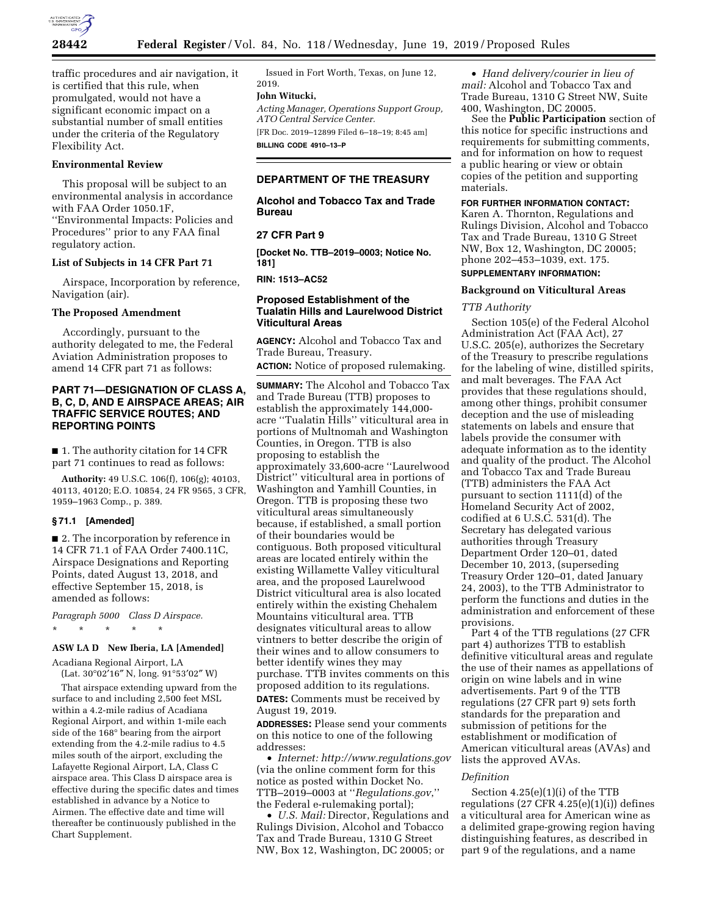

traffic procedures and air navigation, it is certified that this rule, when promulgated, would not have a significant economic impact on a substantial number of small entities under the criteria of the Regulatory Flexibility Act.

## **Environmental Review**

This proposal will be subject to an environmental analysis in accordance with FAA Order 1050.1F, ''Environmental Impacts: Policies and Procedures'' prior to any FAA final regulatory action.

#### **List of Subjects in 14 CFR Part 71**

Airspace, Incorporation by reference, Navigation (air).

#### **The Proposed Amendment**

Accordingly, pursuant to the authority delegated to me, the Federal Aviation Administration proposes to amend 14 CFR part 71 as follows:

## **PART 71—DESIGNATION OF CLASS A, B, C, D, AND E AIRSPACE AREAS; AIR TRAFFIC SERVICE ROUTES; AND REPORTING POINTS**

■ 1. The authority citation for 14 CFR part 71 continues to read as follows:

**Authority:** 49 U.S.C. 106(f), 106(g); 40103, 40113, 40120; E.O. 10854, 24 FR 9565, 3 CFR, 1959–1963 Comp., p. 389.

## **§ 71.1 [Amended]**

■ 2. The incorporation by reference in 14 CFR 71.1 of FAA Order 7400.11C, Airspace Designations and Reporting Points, dated August 13, 2018, and effective September 15, 2018, is amended as follows:

*Paragraph 5000 Class D Airspace.*  \* \* \* \* \*

#### **ASW LA D New Iberia, LA [Amended]**

Acadiana Regional Airport, LA (Lat. 30°02′16″ N, long. 91°53′02″ W)

That airspace extending upward from the surface to and including 2,500 feet MSL within a 4.2-mile radius of Acadiana Regional Airport, and within 1-mile each side of the 168° bearing from the airport extending from the 4.2-mile radius to 4.5 miles south of the airport, excluding the Lafayette Regional Airport, LA, Class C airspace area. This Class D airspace area is effective during the specific dates and times established in advance by a Notice to Airmen. The effective date and time will thereafter be continuously published in the Chart Supplement.

Issued in Fort Worth, Texas, on June 12, 2019.

## **John Witucki,**

*Acting Manager, Operations Support Group, ATO Central Service Center.* 

[FR Doc. 2019–12899 Filed 6–18–19; 8:45 am] **BILLING CODE 4910–13–P** 

## **DEPARTMENT OF THE TREASURY**

**Alcohol and Tobacco Tax and Trade Bureau** 

## **27 CFR Part 9**

**[Docket No. TTB–2019–0003; Notice No. 181]** 

**RIN: 1513–AC52** 

## **Proposed Establishment of the Tualatin Hills and Laurelwood District Viticultural Areas**

**AGENCY:** Alcohol and Tobacco Tax and Trade Bureau, Treasury.

**ACTION:** Notice of proposed rulemaking.

**SUMMARY:** The Alcohol and Tobacco Tax and Trade Bureau (TTB) proposes to establish the approximately 144,000 acre ''Tualatin Hills'' viticultural area in portions of Multnomah and Washington Counties, in Oregon. TTB is also proposing to establish the approximately 33,600-acre ''Laurelwood District'' viticultural area in portions of Washington and Yamhill Counties, in Oregon. TTB is proposing these two viticultural areas simultaneously because, if established, a small portion of their boundaries would be contiguous. Both proposed viticultural areas are located entirely within the existing Willamette Valley viticultural area, and the proposed Laurelwood District viticultural area is also located entirely within the existing Chehalem Mountains viticultural area. TTB designates viticultural areas to allow vintners to better describe the origin of their wines and to allow consumers to better identify wines they may purchase. TTB invites comments on this proposed addition to its regulations. **DATES:** Comments must be received by August 19, 2019.

**ADDRESSES:** Please send your comments on this notice to one of the following addresses:

• *Internet: <http://www.regulations.gov>* (via the online comment form for this notice as posted within Docket No. TTB–2019–0003 at ''*Regulations.gov*,'' the Federal e-rulemaking portal);

• *U.S. Mail:* Director, Regulations and Rulings Division, Alcohol and Tobacco Tax and Trade Bureau, 1310 G Street NW, Box 12, Washington, DC 20005; or

• *Hand delivery/courier in lieu of mail:* Alcohol and Tobacco Tax and Trade Bureau, 1310 G Street NW, Suite 400, Washington, DC 20005.

See the **Public Participation** section of this notice for specific instructions and requirements for submitting comments, and for information on how to request a public hearing or view or obtain copies of the petition and supporting materials.

## **FOR FURTHER INFORMATION CONTACT:**

Karen A. Thornton, Regulations and Rulings Division, Alcohol and Tobacco Tax and Trade Bureau, 1310 G Street NW, Box 12, Washington, DC 20005; phone 202–453–1039, ext. 175. **SUPPLEMENTARY INFORMATION:** 

# **Background on Viticultural Areas**

#### *TTB Authority*

Section 105(e) of the Federal Alcohol Administration Act (FAA Act), 27 U.S.C. 205(e), authorizes the Secretary of the Treasury to prescribe regulations for the labeling of wine, distilled spirits, and malt beverages. The FAA Act provides that these regulations should, among other things, prohibit consumer deception and the use of misleading statements on labels and ensure that labels provide the consumer with adequate information as to the identity and quality of the product. The Alcohol and Tobacco Tax and Trade Bureau (TTB) administers the FAA Act pursuant to section 1111(d) of the Homeland Security Act of 2002, codified at 6 U.S.C. 531(d). The Secretary has delegated various authorities through Treasury Department Order 120–01, dated December 10, 2013, (superseding Treasury Order 120–01, dated January 24, 2003), to the TTB Administrator to perform the functions and duties in the administration and enforcement of these provisions.

Part 4 of the TTB regulations (27 CFR part 4) authorizes TTB to establish definitive viticultural areas and regulate the use of their names as appellations of origin on wine labels and in wine advertisements. Part 9 of the TTB regulations (27 CFR part 9) sets forth standards for the preparation and submission of petitions for the establishment or modification of American viticultural areas (AVAs) and lists the approved AVAs.

#### *Definition*

Section 4.25(e)(1)(i) of the TTB regulations (27 CFR 4.25(e)(1)(i)) defines a viticultural area for American wine as a delimited grape-growing region having distinguishing features, as described in part 9 of the regulations, and a name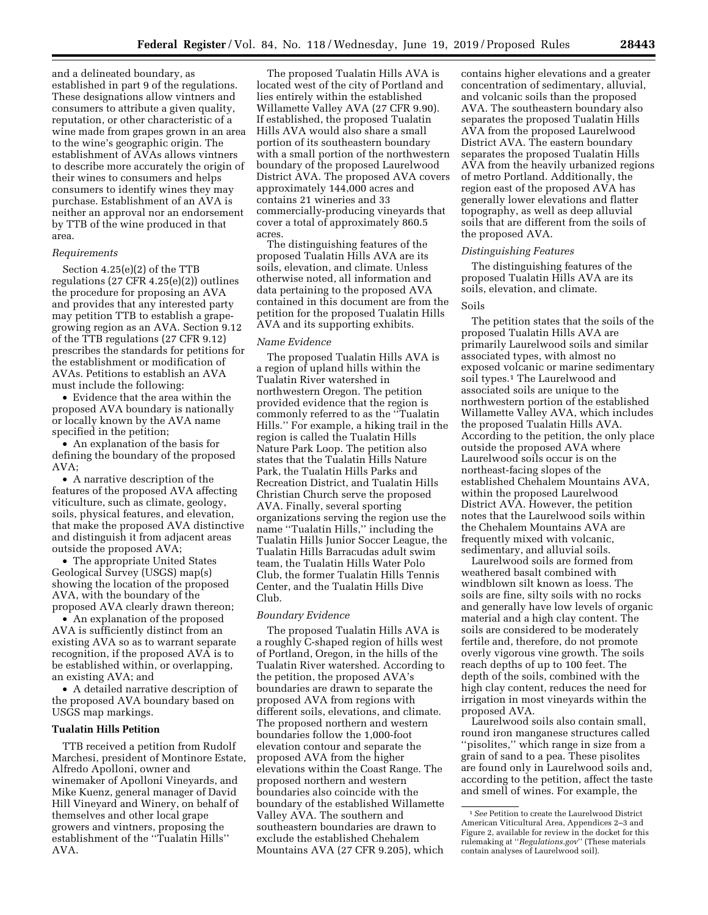and a delineated boundary, as established in part 9 of the regulations. These designations allow vintners and consumers to attribute a given quality, reputation, or other characteristic of a wine made from grapes grown in an area to the wine's geographic origin. The establishment of AVAs allows vintners to describe more accurately the origin of their wines to consumers and helps consumers to identify wines they may purchase. Establishment of an AVA is neither an approval nor an endorsement by TTB of the wine produced in that area.

## *Requirements*

Section 4.25(e)(2) of the TTB regulations (27 CFR 4.25(e)(2)) outlines the procedure for proposing an AVA and provides that any interested party may petition TTB to establish a grapegrowing region as an AVA. Section 9.12 of the TTB regulations (27 CFR 9.12) prescribes the standards for petitions for the establishment or modification of AVAs. Petitions to establish an AVA must include the following:

• Evidence that the area within the proposed AVA boundary is nationally or locally known by the AVA name specified in the petition;

• An explanation of the basis for defining the boundary of the proposed AVA;

• A narrative description of the features of the proposed AVA affecting viticulture, such as climate, geology, soils, physical features, and elevation, that make the proposed AVA distinctive and distinguish it from adjacent areas outside the proposed AVA;

• The appropriate United States Geological Survey (USGS) map(s) showing the location of the proposed AVA, with the boundary of the proposed AVA clearly drawn thereon;

• An explanation of the proposed AVA is sufficiently distinct from an existing AVA so as to warrant separate recognition, if the proposed AVA is to be established within, or overlapping, an existing AVA; and

• A detailed narrative description of the proposed AVA boundary based on USGS map markings.

## **Tualatin Hills Petition**

TTB received a petition from Rudolf Marchesi, president of Montinore Estate, Alfredo Apolloni, owner and winemaker of Apolloni Vineyards, and Mike Kuenz, general manager of David Hill Vineyard and Winery, on behalf of themselves and other local grape growers and vintners, proposing the establishment of the ''Tualatin Hills'' AVA.

The proposed Tualatin Hills AVA is located west of the city of Portland and lies entirely within the established Willamette Valley AVA (27 CFR 9.90). If established, the proposed Tualatin Hills AVA would also share a small portion of its southeastern boundary with a small portion of the northwestern boundary of the proposed Laurelwood District AVA. The proposed AVA covers approximately 144,000 acres and contains 21 wineries and 33 commercially-producing vineyards that cover a total of approximately 860.5 acres.

The distinguishing features of the proposed Tualatin Hills AVA are its soils, elevation, and climate. Unless otherwise noted, all information and data pertaining to the proposed AVA contained in this document are from the petition for the proposed Tualatin Hills AVA and its supporting exhibits.

#### *Name Evidence*

The proposed Tualatin Hills AVA is a region of upland hills within the Tualatin River watershed in northwestern Oregon. The petition provided evidence that the region is commonly referred to as the ''Tualatin Hills.'' For example, a hiking trail in the region is called the Tualatin Hills Nature Park Loop. The petition also states that the Tualatin Hills Nature Park, the Tualatin Hills Parks and Recreation District, and Tualatin Hills Christian Church serve the proposed AVA. Finally, several sporting organizations serving the region use the name ''Tualatin Hills,'' including the Tualatin Hills Junior Soccer League, the Tualatin Hills Barracudas adult swim team, the Tualatin Hills Water Polo Club, the former Tualatin Hills Tennis Center, and the Tualatin Hills Dive Club.

#### *Boundary Evidence*

The proposed Tualatin Hills AVA is a roughly C-shaped region of hills west of Portland, Oregon, in the hills of the Tualatin River watershed. According to the petition, the proposed AVA's boundaries are drawn to separate the proposed AVA from regions with different soils, elevations, and climate. The proposed northern and western boundaries follow the 1,000-foot elevation contour and separate the proposed AVA from the higher elevations within the Coast Range. The proposed northern and western boundaries also coincide with the boundary of the established Willamette Valley AVA. The southern and southeastern boundaries are drawn to exclude the established Chehalem Mountains AVA (27 CFR 9.205), which

contains higher elevations and a greater concentration of sedimentary, alluvial, and volcanic soils than the proposed AVA. The southeastern boundary also separates the proposed Tualatin Hills AVA from the proposed Laurelwood District AVA. The eastern boundary separates the proposed Tualatin Hills AVA from the heavily urbanized regions of metro Portland. Additionally, the region east of the proposed AVA has generally lower elevations and flatter topography, as well as deep alluvial soils that are different from the soils of the proposed AVA.

#### *Distinguishing Features*

The distinguishing features of the proposed Tualatin Hills AVA are its soils, elevation, and climate.

#### Soils

The petition states that the soils of the proposed Tualatin Hills AVA are primarily Laurelwood soils and similar associated types, with almost no exposed volcanic or marine sedimentary soil types.<sup>1</sup> The Laurelwood and associated soils are unique to the northwestern portion of the established Willamette Valley AVA, which includes the proposed Tualatin Hills AVA. According to the petition, the only place outside the proposed AVA where Laurelwood soils occur is on the northeast-facing slopes of the established Chehalem Mountains AVA, within the proposed Laurelwood District AVA. However, the petition notes that the Laurelwood soils within the Chehalem Mountains AVA are frequently mixed with volcanic, sedimentary, and alluvial soils.

Laurelwood soils are formed from weathered basalt combined with windblown silt known as loess. The soils are fine, silty soils with no rocks and generally have low levels of organic material and a high clay content. The soils are considered to be moderately fertile and, therefore, do not promote overly vigorous vine growth. The soils reach depths of up to 100 feet. The depth of the soils, combined with the high clay content, reduces the need for irrigation in most vineyards within the proposed AVA.

Laurelwood soils also contain small, round iron manganese structures called "pisolites," which range in size from a grain of sand to a pea. These pisolites are found only in Laurelwood soils and, according to the petition, affect the taste and smell of wines. For example, the

<sup>1</sup>*See* Petition to create the Laurelwood District American Viticultural Area, Appendices 2–3 and Figure 2, available for review in the docket for this rulemaking at ''*Regulations.gov*'' (These materials contain analyses of Laurelwood soil).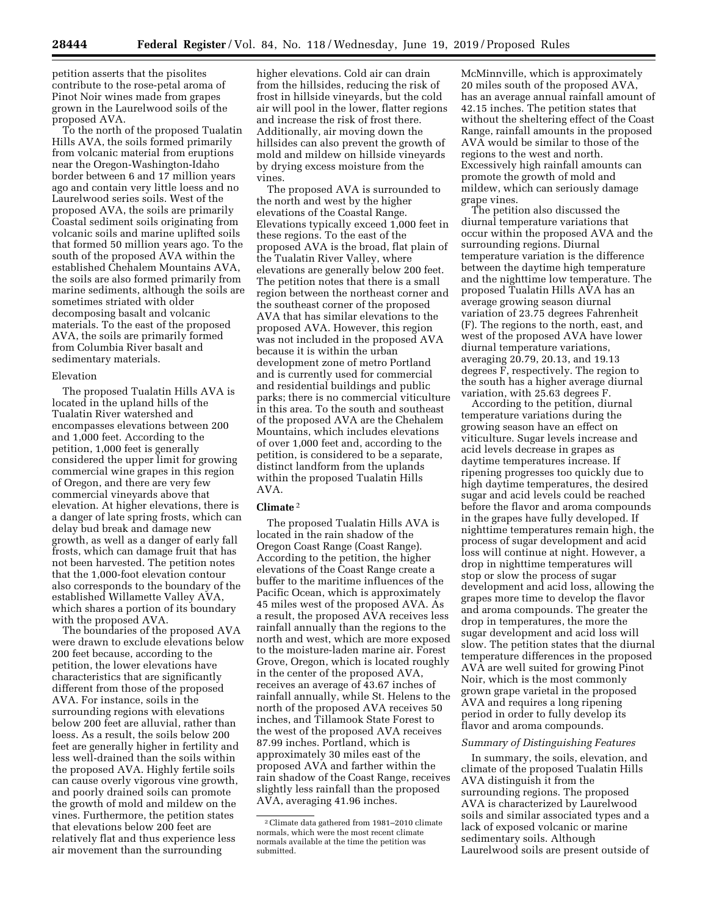petition asserts that the pisolites contribute to the rose-petal aroma of Pinot Noir wines made from grapes grown in the Laurelwood soils of the proposed AVA.

To the north of the proposed Tualatin Hills AVA, the soils formed primarily from volcanic material from eruptions near the Oregon-Washington-Idaho border between 6 and 17 million years ago and contain very little loess and no Laurelwood series soils. West of the proposed AVA, the soils are primarily Coastal sediment soils originating from volcanic soils and marine uplifted soils that formed 50 million years ago. To the south of the proposed AVA within the established Chehalem Mountains AVA, the soils are also formed primarily from marine sediments, although the soils are sometimes striated with older decomposing basalt and volcanic materials. To the east of the proposed AVA, the soils are primarily formed from Columbia River basalt and sedimentary materials.

## Elevation

The proposed Tualatin Hills AVA is located in the upland hills of the Tualatin River watershed and encompasses elevations between 200 and 1,000 feet. According to the petition, 1,000 feet is generally considered the upper limit for growing commercial wine grapes in this region of Oregon, and there are very few commercial vineyards above that elevation. At higher elevations, there is a danger of late spring frosts, which can delay bud break and damage new growth, as well as a danger of early fall frosts, which can damage fruit that has not been harvested. The petition notes that the 1,000-foot elevation contour also corresponds to the boundary of the established Willamette Valley AVA, which shares a portion of its boundary with the proposed AVA.

The boundaries of the proposed AVA were drawn to exclude elevations below 200 feet because, according to the petition, the lower elevations have characteristics that are significantly different from those of the proposed AVA. For instance, soils in the surrounding regions with elevations below 200 feet are alluvial, rather than loess. As a result, the soils below 200 feet are generally higher in fertility and less well-drained than the soils within the proposed AVA. Highly fertile soils can cause overly vigorous vine growth, and poorly drained soils can promote the growth of mold and mildew on the vines. Furthermore, the petition states that elevations below 200 feet are relatively flat and thus experience less air movement than the surrounding

higher elevations. Cold air can drain from the hillsides, reducing the risk of frost in hillside vineyards, but the cold air will pool in the lower, flatter regions and increase the risk of frost there. Additionally, air moving down the hillsides can also prevent the growth of mold and mildew on hillside vineyards by drying excess moisture from the vines.

The proposed AVA is surrounded to the north and west by the higher elevations of the Coastal Range. Elevations typically exceed 1,000 feet in these regions. To the east of the proposed AVA is the broad, flat plain of the Tualatin River Valley, where elevations are generally below 200 feet. The petition notes that there is a small region between the northeast corner and the southeast corner of the proposed AVA that has similar elevations to the proposed AVA. However, this region was not included in the proposed AVA because it is within the urban development zone of metro Portland and is currently used for commercial and residential buildings and public parks; there is no commercial viticulture in this area. To the south and southeast of the proposed AVA are the Chehalem Mountains, which includes elevations of over 1,000 feet and, according to the petition, is considered to be a separate, distinct landform from the uplands within the proposed Tualatin Hills AVA.

## **Climate** 2

The proposed Tualatin Hills AVA is located in the rain shadow of the Oregon Coast Range (Coast Range). According to the petition, the higher elevations of the Coast Range create a buffer to the maritime influences of the Pacific Ocean, which is approximately 45 miles west of the proposed AVA. As a result, the proposed AVA receives less rainfall annually than the regions to the north and west, which are more exposed to the moisture-laden marine air. Forest Grove, Oregon, which is located roughly in the center of the proposed AVA, receives an average of 43.67 inches of rainfall annually, while St. Helens to the north of the proposed AVA receives 50 inches, and Tillamook State Forest to the west of the proposed AVA receives 87.99 inches. Portland, which is approximately 30 miles east of the proposed AVA and farther within the rain shadow of the Coast Range, receives slightly less rainfall than the proposed AVA, averaging 41.96 inches.

McMinnville, which is approximately 20 miles south of the proposed AVA, has an average annual rainfall amount of 42.15 inches. The petition states that without the sheltering effect of the Coast Range, rainfall amounts in the proposed AVA would be similar to those of the regions to the west and north. Excessively high rainfall amounts can promote the growth of mold and mildew, which can seriously damage grape vines.

The petition also discussed the diurnal temperature variations that occur within the proposed AVA and the surrounding regions. Diurnal temperature variation is the difference between the daytime high temperature and the nighttime low temperature. The proposed Tualatin Hills AVA has an average growing season diurnal variation of 23.75 degrees Fahrenheit (F). The regions to the north, east, and west of the proposed AVA have lower diurnal temperature variations, averaging 20.79, 20.13, and 19.13 degrees F, respectively. The region to the south has a higher average diurnal variation, with 25.63 degrees F.

According to the petition, diurnal temperature variations during the growing season have an effect on viticulture. Sugar levels increase and acid levels decrease in grapes as daytime temperatures increase. If ripening progresses too quickly due to high daytime temperatures, the desired sugar and acid levels could be reached before the flavor and aroma compounds in the grapes have fully developed. If nighttime temperatures remain high, the process of sugar development and acid loss will continue at night. However, a drop in nighttime temperatures will stop or slow the process of sugar development and acid loss, allowing the grapes more time to develop the flavor and aroma compounds. The greater the drop in temperatures, the more the sugar development and acid loss will slow. The petition states that the diurnal temperature differences in the proposed AVA are well suited for growing Pinot Noir, which is the most commonly grown grape varietal in the proposed AVA and requires a long ripening period in order to fully develop its flavor and aroma compounds.

#### *Summary of Distinguishing Features*

In summary, the soils, elevation, and climate of the proposed Tualatin Hills AVA distinguish it from the surrounding regions. The proposed AVA is characterized by Laurelwood soils and similar associated types and a lack of exposed volcanic or marine sedimentary soils. Although Laurelwood soils are present outside of

<sup>2</sup>Climate data gathered from 1981–2010 climate normals, which were the most recent climate normals available at the time the petition was submitted.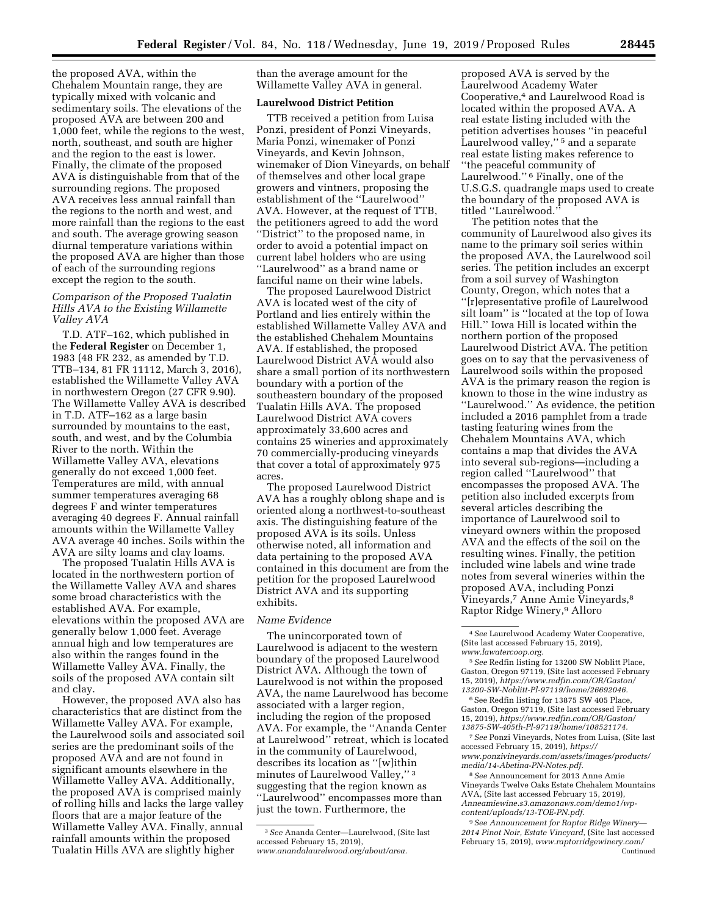the proposed AVA, within the Chehalem Mountain range, they are typically mixed with volcanic and sedimentary soils. The elevations of the proposed AVA are between 200 and 1,000 feet, while the regions to the west, north, southeast, and south are higher and the region to the east is lower. Finally, the climate of the proposed AVA is distinguishable from that of the surrounding regions. The proposed AVA receives less annual rainfall than the regions to the north and west, and more rainfall than the regions to the east and south. The average growing season diurnal temperature variations within the proposed AVA are higher than those of each of the surrounding regions except the region to the south.

## *Comparison of the Proposed Tualatin Hills AVA to the Existing Willamette Valley AVA*

T.D. ATF–162, which published in the **Federal Register** on December 1, 1983 (48 FR 232, as amended by T.D. TTB–134, 81 FR 11112, March 3, 2016), established the Willamette Valley AVA in northwestern Oregon (27 CFR 9.90). The Willamette Valley AVA is described in T.D. ATF–162 as a large basin surrounded by mountains to the east, south, and west, and by the Columbia River to the north. Within the Willamette Valley AVA, elevations generally do not exceed 1,000 feet. Temperatures are mild, with annual summer temperatures averaging 68 degrees F and winter temperatures averaging 40 degrees F. Annual rainfall amounts within the Willamette Valley AVA average 40 inches. Soils within the AVA are silty loams and clay loams.

The proposed Tualatin Hills AVA is located in the northwestern portion of the Willamette Valley AVA and shares some broad characteristics with the established AVA. For example, elevations within the proposed AVA are generally below 1,000 feet. Average annual high and low temperatures are also within the ranges found in the Willamette Valley AVA. Finally, the soils of the proposed AVA contain silt and clay.

However, the proposed AVA also has characteristics that are distinct from the Willamette Valley AVA. For example, the Laurelwood soils and associated soil series are the predominant soils of the proposed AVA and are not found in significant amounts elsewhere in the Willamette Valley AVA. Additionally, the proposed AVA is comprised mainly of rolling hills and lacks the large valley floors that are a major feature of the Willamette Valley AVA. Finally, annual rainfall amounts within the proposed Tualatin Hills AVA are slightly higher

than the average amount for the Willamette Valley AVA in general.

## **Laurelwood District Petition**

TTB received a petition from Luisa Ponzi, president of Ponzi Vineyards, Maria Ponzi, winemaker of Ponzi Vineyards, and Kevin Johnson, winemaker of Dion Vineyards, on behalf of themselves and other local grape growers and vintners, proposing the establishment of the ''Laurelwood'' AVA. However, at the request of TTB, the petitioners agreed to add the word ''District'' to the proposed name, in order to avoid a potential impact on current label holders who are using ''Laurelwood'' as a brand name or fanciful name on their wine labels.

The proposed Laurelwood District AVA is located west of the city of Portland and lies entirely within the established Willamette Valley AVA and the established Chehalem Mountains AVA. If established, the proposed Laurelwood District AVA would also share a small portion of its northwestern boundary with a portion of the southeastern boundary of the proposed Tualatin Hills AVA. The proposed Laurelwood District AVA covers approximately 33,600 acres and contains 25 wineries and approximately 70 commercially-producing vineyards that cover a total of approximately 975 acres.

The proposed Laurelwood District AVA has a roughly oblong shape and is oriented along a northwest-to-southeast axis. The distinguishing feature of the proposed AVA is its soils. Unless otherwise noted, all information and data pertaining to the proposed AVA contained in this document are from the petition for the proposed Laurelwood District AVA and its supporting exhibits.

## *Name Evidence*

The unincorporated town of Laurelwood is adjacent to the western boundary of the proposed Laurelwood District AVA. Although the town of Laurelwood is not within the proposed AVA, the name Laurelwood has become associated with a larger region, including the region of the proposed AVA. For example, the ''Ananda Center at Laurelwood'' retreat, which is located in the community of Laurelwood, describes its location as ''[w]ithin minutes of Laurelwood Valley,'' 3 suggesting that the region known as ''Laurelwood'' encompasses more than just the town. Furthermore, the

proposed AVA is served by the Laurelwood Academy Water Cooperative,4 and Laurelwood Road is located within the proposed AVA. A real estate listing included with the petition advertises houses ''in peaceful Laurelwood valley,'' 5 and a separate real estate listing makes reference to ''the peaceful community of Laurelwood."<sup>6</sup> Finally, one of the U.S.G.S. quadrangle maps used to create the boundary of the proposed AVA is titled ''Laurelwood.''

The petition notes that the community of Laurelwood also gives its name to the primary soil series within the proposed AVA, the Laurelwood soil series. The petition includes an excerpt from a soil survey of Washington County, Oregon, which notes that a ''[r]epresentative profile of Laurelwood silt loam'' is ''located at the top of Iowa Hill.'' Iowa Hill is located within the northern portion of the proposed Laurelwood District AVA. The petition goes on to say that the pervasiveness of Laurelwood soils within the proposed AVA is the primary reason the region is known to those in the wine industry as ''Laurelwood.'' As evidence, the petition included a 2016 pamphlet from a trade tasting featuring wines from the Chehalem Mountains AVA, which contains a map that divides the AVA into several sub-regions—including a region called ''Laurelwood'' that encompasses the proposed AVA. The petition also included excerpts from several articles describing the importance of Laurelwood soil to vineyard owners within the proposed AVA and the effects of the soil on the resulting wines. Finally, the petition included wine labels and wine trade notes from several wineries within the proposed AVA, including Ponzi Vineyards,7 Anne Amie Vineyards,8 Raptor Ridge Winery,9 Alloro

 $^{\rm 6}$  See Redfin listing for 13875 SW 405 Place, Gaston, Oregon 97119, (Site last accessed February 15, 2019), *[https://www.redfin.com/OR/Gaston/](https://www.redfin.com/OR/Gaston/13875-SW-405th-Pl-97119/home/108521174) [13875-SW-405th-Pl-97119/home/108521174.](https://www.redfin.com/OR/Gaston/13875-SW-405th-Pl-97119/home/108521174)* 

7*See* Ponzi Vineyards, Notes from Luisa, (Site last accessed February 15, 2019), *[https://](https://www.ponzivineyards.com/assets/images/products/media/14-Abetina-PN-Notes.pdf) [www.ponzivineyards.com/assets/images/products/](https://www.ponzivineyards.com/assets/images/products/media/14-Abetina-PN-Notes.pdf) [media/14-Abetina-PN-Notes.pdf.](https://www.ponzivineyards.com/assets/images/products/media/14-Abetina-PN-Notes.pdf)* 

8*See* Announcement for 2013 Anne Amie Vineyards Twelve Oaks Estate Chehalem Mountains AVA, (Site last accessed February 15, 2019), *Anneamiewine.s3.amazonaws.com/demo1/wpcontent/uploads/13-TOE-PN.pdf.* 

9*See Announcement for Raptor Ridge Winery— 2014 Pinot Noir, Estate Vineyard,* (Site last accessed February 15, 2019), *[www.raptorridgewinery.com/](http://www.raptorridgewinery.com/assets/client/File/2014%20PN%20Estate%20Vineyard%20Media%20Sheet.pdf)* Continued

<sup>3</sup>*See* Ananda Center—Laurelwood, (Site last accessed February 15, 2019), *[www.anandalaurelwood.org/about/area.](http://www.anandalaurelwood.org/about/area)* 

<sup>4</sup>*See* Laurelwood Academy Water Cooperative, (Site last accessed February 15, 2019), *[www.lawatercoop.org.](http://www.lawatercoop.org)* 

<sup>5</sup>*See* Redfin listing for 13200 SW Noblitt Place, Gaston, Oregon 97119, (Site last accessed February 15, 2019), *[https://www.redfin.com/OR/Gaston/](https://www.redfin.com/OR/Gaston/13200-SW-Noblitt-Pl-97119/home/26692046) [13200-SW-Noblitt-Pl-97119/home/26692046.](https://www.redfin.com/OR/Gaston/13200-SW-Noblitt-Pl-97119/home/26692046)*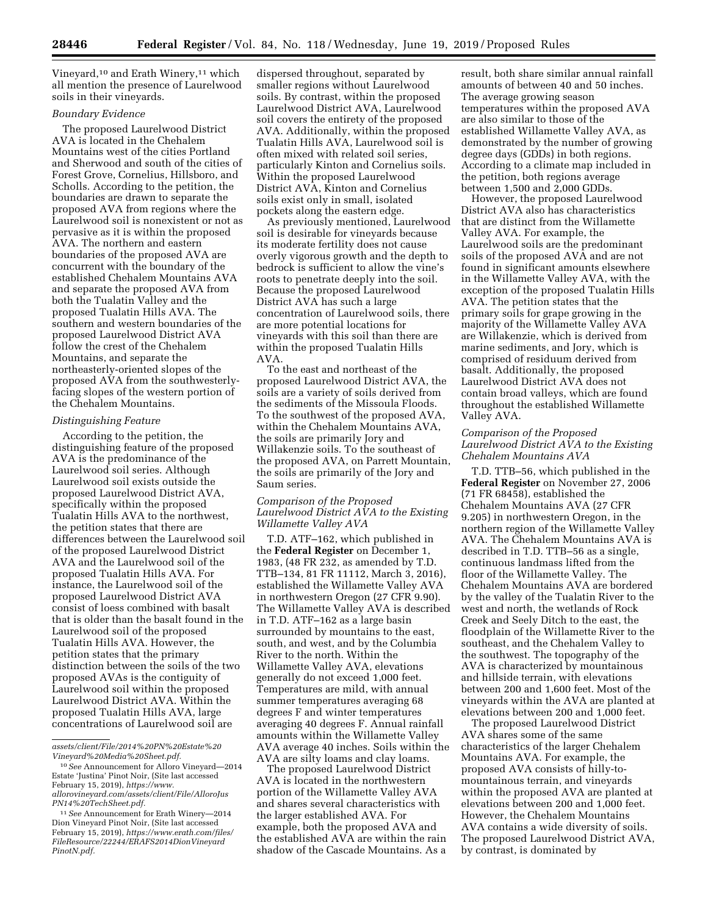Vineyard,<sup>10</sup> and Erath Winery,<sup>11</sup> which all mention the presence of Laurelwood soils in their vineyards.

# *Boundary Evidence*

The proposed Laurelwood District AVA is located in the Chehalem Mountains west of the cities Portland and Sherwood and south of the cities of Forest Grove, Cornelius, Hillsboro, and Scholls. According to the petition, the boundaries are drawn to separate the proposed AVA from regions where the Laurelwood soil is nonexistent or not as pervasive as it is within the proposed AVA. The northern and eastern boundaries of the proposed AVA are concurrent with the boundary of the established Chehalem Mountains AVA and separate the proposed AVA from both the Tualatin Valley and the proposed Tualatin Hills AVA. The southern and western boundaries of the proposed Laurelwood District AVA follow the crest of the Chehalem Mountains, and separate the northeasterly-oriented slopes of the proposed AVA from the southwesterlyfacing slopes of the western portion of the Chehalem Mountains.

## *Distinguishing Feature*

According to the petition, the distinguishing feature of the proposed AVA is the predominance of the Laurelwood soil series. Although Laurelwood soil exists outside the proposed Laurelwood District AVA, specifically within the proposed Tualatin Hills AVA to the northwest, the petition states that there are differences between the Laurelwood soil of the proposed Laurelwood District AVA and the Laurelwood soil of the proposed Tualatin Hills AVA. For instance, the Laurelwood soil of the proposed Laurelwood District AVA consist of loess combined with basalt that is older than the basalt found in the Laurelwood soil of the proposed Tualatin Hills AVA. However, the petition states that the primary distinction between the soils of the two proposed AVAs is the contiguity of Laurelwood soil within the proposed Laurelwood District AVA. Within the proposed Tualatin Hills AVA, large concentrations of Laurelwood soil are

*[PN14%20TechSheet.pdf.](https://www.allorovineyard.com/assets/client/File/AlloroJusPN14%20TechSheet.pdf)* 

dispersed throughout, separated by smaller regions without Laurelwood soils. By contrast, within the proposed Laurelwood District AVA, Laurelwood soil covers the entirety of the proposed AVA. Additionally, within the proposed Tualatin Hills AVA, Laurelwood soil is often mixed with related soil series, particularly Kinton and Cornelius soils. Within the proposed Laurelwood District AVA, Kinton and Cornelius soils exist only in small, isolated pockets along the eastern edge.

As previously mentioned, Laurelwood soil is desirable for vineyards because its moderate fertility does not cause overly vigorous growth and the depth to bedrock is sufficient to allow the vine's roots to penetrate deeply into the soil. Because the proposed Laurelwood District AVA has such a large concentration of Laurelwood soils, there are more potential locations for vineyards with this soil than there are within the proposed Tualatin Hills AVA.

To the east and northeast of the proposed Laurelwood District AVA, the soils are a variety of soils derived from the sediments of the Missoula Floods. To the southwest of the proposed AVA, within the Chehalem Mountains AVA, the soils are primarily Jory and Willakenzie soils. To the southeast of the proposed AVA, on Parrett Mountain, the soils are primarily of the Jory and Saum series.

## *Comparison of the Proposed Laurelwood District AVA to the Existing Willamette Valley AVA*

T.D. ATF–162, which published in the **Federal Register** on December 1, 1983, (48 FR 232, as amended by T.D. TTB–134, 81 FR 11112, March 3, 2016), established the Willamette Valley AVA in northwestern Oregon (27 CFR 9.90). The Willamette Valley AVA is described in T.D. ATF–162 as a large basin surrounded by mountains to the east, south, and west, and by the Columbia River to the north. Within the Willamette Valley AVA, elevations generally do not exceed 1,000 feet. Temperatures are mild, with annual summer temperatures averaging 68 degrees F and winter temperatures averaging 40 degrees F. Annual rainfall amounts within the Willamette Valley AVA average 40 inches. Soils within the AVA are silty loams and clay loams.

The proposed Laurelwood District AVA is located in the northwestern portion of the Willamette Valley AVA and shares several characteristics with the larger established AVA. For example, both the proposed AVA and the established AVA are within the rain shadow of the Cascade Mountains. As a result, both share similar annual rainfall amounts of between 40 and 50 inches. The average growing season temperatures within the proposed AVA are also similar to those of the established Willamette Valley AVA, as demonstrated by the number of growing degree days (GDDs) in both regions. According to a climate map included in the petition, both regions average between 1,500 and 2,000 GDDs.

However, the proposed Laurelwood District AVA also has characteristics that are distinct from the Willamette Valley AVA. For example, the Laurelwood soils are the predominant soils of the proposed AVA and are not found in significant amounts elsewhere in the Willamette Valley AVA, with the exception of the proposed Tualatin Hills AVA. The petition states that the primary soils for grape growing in the majority of the Willamette Valley AVA are Willakenzie, which is derived from marine sediments, and Jory, which is comprised of residuum derived from basalt. Additionally, the proposed Laurelwood District AVA does not contain broad valleys, which are found throughout the established Willamette Valley AVA.

## *Comparison of the Proposed Laurelwood District AVA to the Existing Chehalem Mountains AVA*

T.D. TTB–56, which published in the **Federal Register** on November 27, 2006  $(71$  FR 68458), established the Chehalem Mountains AVA (27 CFR 9.205) in northwestern Oregon, in the northern region of the Willamette Valley AVA. The Chehalem Mountains AVA is described in T.D. TTB–56 as a single, continuous landmass lifted from the floor of the Willamette Valley. The Chehalem Mountains AVA are bordered by the valley of the Tualatin River to the west and north, the wetlands of Rock Creek and Seely Ditch to the east, the floodplain of the Willamette River to the southeast, and the Chehalem Valley to the southwest. The topography of the AVA is characterized by mountainous and hillside terrain, with elevations between 200 and 1,600 feet. Most of the vineyards within the AVA are planted at elevations between 200 and 1,000 feet.

The proposed Laurelwood District AVA shares some of the same characteristics of the larger Chehalem Mountains AVA. For example, the proposed AVA consists of hilly-tomountainous terrain, and vineyards within the proposed AVA are planted at elevations between 200 and 1,000 feet. However, the Chehalem Mountains AVA contains a wide diversity of soils. The proposed Laurelwood District AVA, by contrast, is dominated by

*[assets/client/File/2014%20PN%20Estate%20](http://www.raptorridgewinery.com/assets/client/File/2014%20PN%20Estate%20Vineyard%20Media%20Sheet.pdf) [Vineyard%20Media%20Sheet.pdf.](http://www.raptorridgewinery.com/assets/client/File/2014%20PN%20Estate%20Vineyard%20Media%20Sheet.pdf)* 

<sup>10</sup>*See* Announcement for Alloro Vineyard—2014 Estate 'Justina' Pinot Noir, (Site last accessed February 15, 2019), *[https://www.](https://www.allorovineyard.com/assets/client/File/AlloroJusPN14%20TechSheet.pdf) [allorovineyard.com/assets/client/File/AlloroJus](https://www.allorovineyard.com/assets/client/File/AlloroJusPN14%20TechSheet.pdf)*

<sup>11</sup>*See* Announcement for Erath Winery—2014 Dion Vineyard Pinot Noir, (Site last accessed February 15, 2019), *[https://www.erath.com/files/](https://www.erath.com/files/FileResource/22244/ERAFS2014DionVineyardPinotN.pdf) [FileResource/22244/ERAFS2014DionVineyard](https://www.erath.com/files/FileResource/22244/ERAFS2014DionVineyardPinotN.pdf) [PinotN.pdf.](https://www.erath.com/files/FileResource/22244/ERAFS2014DionVineyardPinotN.pdf)*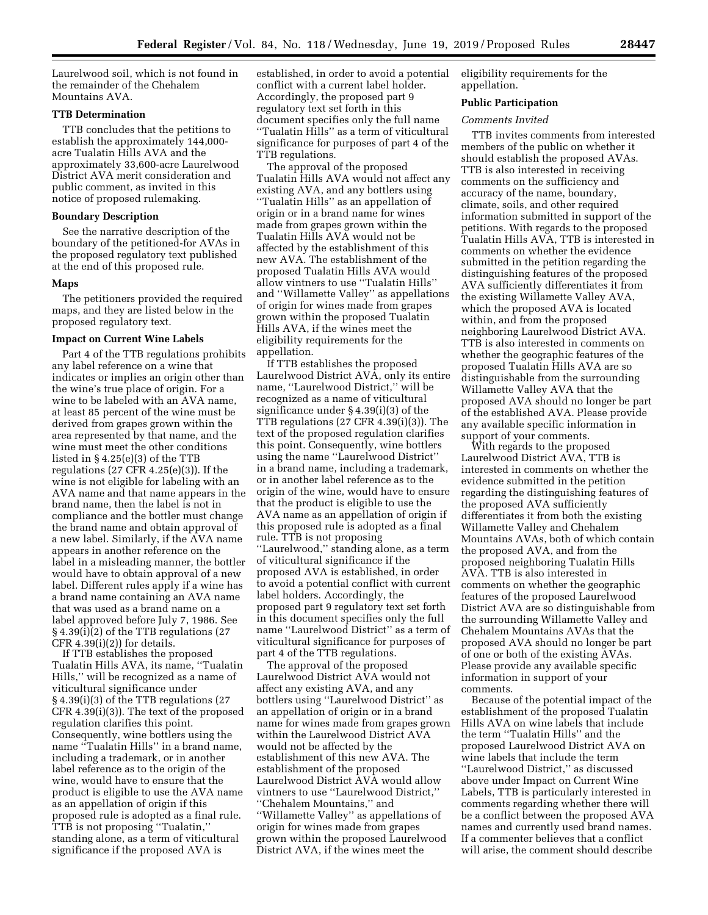Laurelwood soil, which is not found in the remainder of the Chehalem Mountains AVA.

## **TTB Determination**

TTB concludes that the petitions to establish the approximately 144,000 acre Tualatin Hills AVA and the approximately 33,600-acre Laurelwood District AVA merit consideration and public comment, as invited in this notice of proposed rulemaking.

## **Boundary Description**

See the narrative description of the boundary of the petitioned-for AVAs in the proposed regulatory text published at the end of this proposed rule.

## **Maps**

The petitioners provided the required maps, and they are listed below in the proposed regulatory text.

#### **Impact on Current Wine Labels**

Part 4 of the TTB regulations prohibits any label reference on a wine that indicates or implies an origin other than the wine's true place of origin. For a wine to be labeled with an AVA name, at least 85 percent of the wine must be derived from grapes grown within the area represented by that name, and the wine must meet the other conditions listed in  $\S 4.25(e)(3)$  of the TTB regulations (27 CFR 4.25(e)(3)). If the wine is not eligible for labeling with an AVA name and that name appears in the brand name, then the label is not in compliance and the bottler must change the brand name and obtain approval of a new label. Similarly, if the AVA name appears in another reference on the label in a misleading manner, the bottler would have to obtain approval of a new label. Different rules apply if a wine has a brand name containing an AVA name that was used as a brand name on a label approved before July 7, 1986. See § 4.39(i)(2) of the TTB regulations (27  $CFR$  4.39(i)(2)) for details.

If TTB establishes the proposed Tualatin Hills AVA, its name, ''Tualatin Hills,'' will be recognized as a name of viticultural significance under § 4.39(i)(3) of the TTB regulations (27 CFR 4.39(i)(3)). The text of the proposed regulation clarifies this point. Consequently, wine bottlers using the name ''Tualatin Hills'' in a brand name, including a trademark, or in another label reference as to the origin of the wine, would have to ensure that the product is eligible to use the AVA name as an appellation of origin if this proposed rule is adopted as a final rule. TTB is not proposing ''Tualatin,'' standing alone, as a term of viticultural significance if the proposed AVA is

established, in order to avoid a potential conflict with a current label holder. Accordingly, the proposed part 9 regulatory text set forth in this document specifies only the full name ''Tualatin Hills'' as a term of viticultural significance for purposes of part 4 of the TTB regulations.

The approval of the proposed Tualatin Hills AVA would not affect any existing AVA, and any bottlers using ''Tualatin Hills'' as an appellation of origin or in a brand name for wines made from grapes grown within the Tualatin Hills AVA would not be affected by the establishment of this new AVA. The establishment of the proposed Tualatin Hills AVA would allow vintners to use ''Tualatin Hills'' and ''Willamette Valley'' as appellations of origin for wines made from grapes grown within the proposed Tualatin Hills AVA, if the wines meet the eligibility requirements for the appellation.

If TTB establishes the proposed Laurelwood District AVA, only its entire name, ''Laurelwood District,'' will be recognized as a name of viticultural significance under § 4.39(i)(3) of the TTB regulations (27 CFR 4.39(i)(3)). The text of the proposed regulation clarifies this point. Consequently, wine bottlers using the name ''Laurelwood District'' in a brand name, including a trademark, or in another label reference as to the origin of the wine, would have to ensure that the product is eligible to use the AVA name as an appellation of origin if this proposed rule is adopted as a final rule. TTB is not proposing ''Laurelwood,'' standing alone, as a term of viticultural significance if the proposed AVA is established, in order to avoid a potential conflict with current label holders. Accordingly, the proposed part 9 regulatory text set forth in this document specifies only the full name ''Laurelwood District'' as a term of viticultural significance for purposes of part 4 of the TTB regulations.

The approval of the proposed Laurelwood District AVA would not affect any existing AVA, and any bottlers using ''Laurelwood District'' as an appellation of origin or in a brand name for wines made from grapes grown within the Laurelwood District AVA would not be affected by the establishment of this new AVA. The establishment of the proposed Laurelwood District AVA would allow vintners to use ''Laurelwood District,'' ''Chehalem Mountains,'' and ''Willamette Valley'' as appellations of origin for wines made from grapes grown within the proposed Laurelwood District AVA, if the wines meet the

eligibility requirements for the appellation.

## **Public Participation**

## *Comments Invited*

TTB invites comments from interested members of the public on whether it should establish the proposed AVAs. TTB is also interested in receiving comments on the sufficiency and accuracy of the name, boundary, climate, soils, and other required information submitted in support of the petitions. With regards to the proposed Tualatin Hills AVA, TTB is interested in comments on whether the evidence submitted in the petition regarding the distinguishing features of the proposed AVA sufficiently differentiates it from the existing Willamette Valley AVA, which the proposed AVA is located within, and from the proposed neighboring Laurelwood District AVA. TTB is also interested in comments on whether the geographic features of the proposed Tualatin Hills AVA are so distinguishable from the surrounding Willamette Valley AVA that the proposed AVA should no longer be part of the established AVA. Please provide any available specific information in support of your comments.

With regards to the proposed Laurelwood District AVA, TTB is interested in comments on whether the evidence submitted in the petition regarding the distinguishing features of the proposed AVA sufficiently differentiates it from both the existing Willamette Valley and Chehalem Mountains AVAs, both of which contain the proposed AVA, and from the proposed neighboring Tualatin Hills AVA. TTB is also interested in comments on whether the geographic features of the proposed Laurelwood District AVA are so distinguishable from the surrounding Willamette Valley and Chehalem Mountains AVAs that the proposed AVA should no longer be part of one or both of the existing AVAs. Please provide any available specific information in support of your comments.

Because of the potential impact of the establishment of the proposed Tualatin Hills AVA on wine labels that include the term ''Tualatin Hills'' and the proposed Laurelwood District AVA on wine labels that include the term ''Laurelwood District,'' as discussed above under Impact on Current Wine Labels, TTB is particularly interested in comments regarding whether there will be a conflict between the proposed AVA names and currently used brand names. If a commenter believes that a conflict will arise, the comment should describe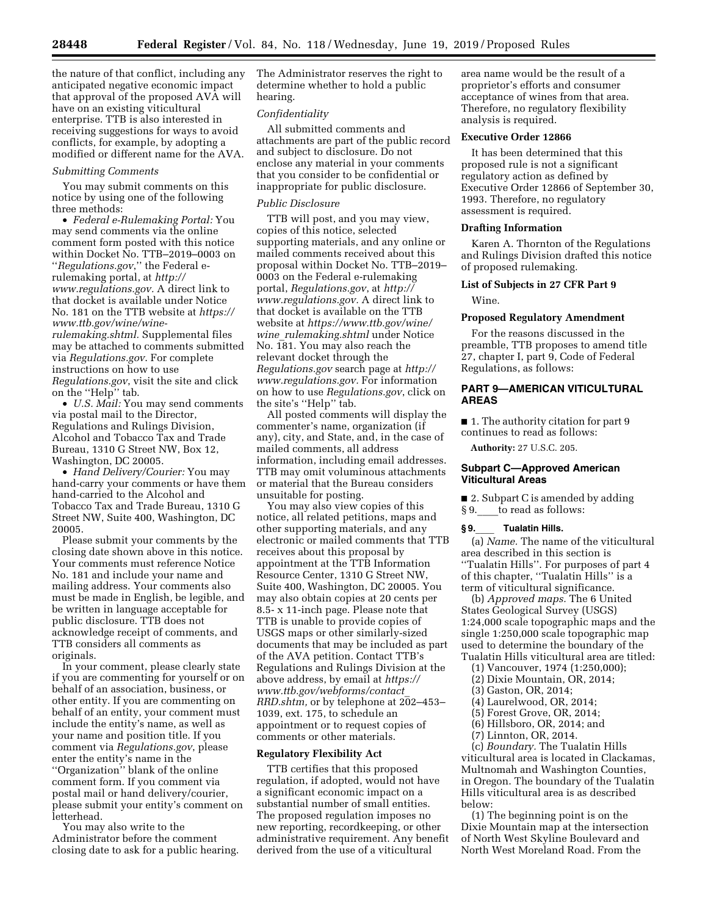the nature of that conflict, including any anticipated negative economic impact that approval of the proposed AVA will have on an existing viticultural enterprise. TTB is also interested in receiving suggestions for ways to avoid conflicts, for example, by adopting a modified or different name for the AVA.

## *Submitting Comments*

You may submit comments on this notice by using one of the following three methods:

• *Federal e-Rulemaking Portal:* You may send comments via the online comment form posted with this notice within Docket No. TTB–2019–0003 on ''*Regulations.gov*,'' the Federal erulemaking portal, at *[http://](http://www.regulations.gov) [www.regulations.gov.](http://www.regulations.gov)* A direct link to that docket is available under Notice No. 181 on the TTB website at *[https://](https://www.ttb.gov/wine/wine-rulemaking.shtml)  [www.ttb.gov/wine/wine-](https://www.ttb.gov/wine/wine-rulemaking.shtml)*

*[rulemaking.shtml.](https://www.ttb.gov/wine/wine-rulemaking.shtml)* Supplemental files may be attached to comments submitted via *Regulations.gov*. For complete instructions on how to use *Regulations.gov*, visit the site and click on the ''Help'' tab.

• *U.S. Mail:* You may send comments via postal mail to the Director, Regulations and Rulings Division, Alcohol and Tobacco Tax and Trade Bureau, 1310 G Street NW, Box 12, Washington, DC 20005.

• *Hand Delivery/Courier:* You may hand-carry your comments or have them hand-carried to the Alcohol and Tobacco Tax and Trade Bureau, 1310 G Street NW, Suite 400, Washington, DC 20005.

Please submit your comments by the closing date shown above in this notice. Your comments must reference Notice No. 181 and include your name and mailing address. Your comments also must be made in English, be legible, and be written in language acceptable for public disclosure. TTB does not acknowledge receipt of comments, and TTB considers all comments as originals.

In your comment, please clearly state if you are commenting for yourself or on behalf of an association, business, or other entity. If you are commenting on behalf of an entity, your comment must include the entity's name, as well as your name and position title. If you comment via *Regulations.gov*, please enter the entity's name in the ''Organization'' blank of the online comment form. If you comment via postal mail or hand delivery/courier, please submit your entity's comment on letterhead.

You may also write to the Administrator before the comment closing date to ask for a public hearing. The Administrator reserves the right to determine whether to hold a public hearing.

## *Confidentiality*

All submitted comments and attachments are part of the public record and subject to disclosure. Do not enclose any material in your comments that you consider to be confidential or inappropriate for public disclosure.

#### *Public Disclosure*

TTB will post, and you may view, copies of this notice, selected supporting materials, and any online or mailed comments received about this proposal within Docket No. TTB–2019– 0003 on the Federal e-rulemaking portal, *Regulations.gov*, at *[http://](http://www.regulations.gov) [www.regulations.gov.](http://www.regulations.gov)* A direct link to that docket is available on the TTB website at *[https://www.ttb.gov/wine/](https://www.ttb.gov/wine/wine_rulemaking.shtml)  wine*\_*[rulemaking.shtml](https://www.ttb.gov/wine/wine_rulemaking.shtml)* under Notice No. 181. You may also reach the relevant docket through the *Regulations.gov* search page at *[http://](http://www.regulations.gov) [www.regulations.gov.](http://www.regulations.gov)* For information on how to use *Regulations.gov*, click on the site's ''Help'' tab.

All posted comments will display the commenter's name, organization (if any), city, and State, and, in the case of mailed comments, all address information, including email addresses. TTB may omit voluminous attachments or material that the Bureau considers unsuitable for posting.

You may also view copies of this notice, all related petitions, maps and other supporting materials, and any electronic or mailed comments that TTB receives about this proposal by appointment at the TTB Information Resource Center, 1310 G Street NW, Suite 400, Washington, DC 20005. You may also obtain copies at 20 cents per 8.5- x 11-inch page. Please note that TTB is unable to provide copies of USGS maps or other similarly-sized documents that may be included as part of the AVA petition. Contact TTB's Regulations and Rulings Division at the above address, by email at *[https://](https://www.ttb.gov/webforms/contact_RRD.shtm) [www.ttb.gov/webforms/contact](https://www.ttb.gov/webforms/contact_RRD.shtm)*\_ *[RRD.shtm,](https://www.ttb.gov/webforms/contact_RRD.shtm)* or by telephone at 202–453– 1039, ext. 175, to schedule an appointment or to request copies of comments or other materials.

## **Regulatory Flexibility Act**

TTB certifies that this proposed regulation, if adopted, would not have a significant economic impact on a substantial number of small entities. The proposed regulation imposes no new reporting, recordkeeping, or other administrative requirement. Any benefit derived from the use of a viticultural

area name would be the result of a proprietor's efforts and consumer acceptance of wines from that area. Therefore, no regulatory flexibility analysis is required.

## **Executive Order 12866**

It has been determined that this proposed rule is not a significant regulatory action as defined by Executive Order 12866 of September 30, 1993. Therefore, no regulatory assessment is required.

#### **Drafting Information**

Karen A. Thornton of the Regulations and Rulings Division drafted this notice of proposed rulemaking.

## **List of Subjects in 27 CFR Part 9**

## Wine.

## **Proposed Regulatory Amendment**

For the reasons discussed in the preamble, TTB proposes to amend title 27, chapter I, part 9, Code of Federal Regulations, as follows:

## **PART 9—AMERICAN VITICULTURAL AREAS**

■ 1. The authority citation for part 9 continues to read as follows:

**Authority:** 27 U.S.C. 205.

## **Subpart C—Approved American Viticultural Areas**

■ 2. Subpart C is amended by adding § 9. to read as follows:

#### **§ 9.**\_\_\_\_ **Tualatin Hills.**

(a) *Name.* The name of the viticultural area described in this section is ''Tualatin Hills''. For purposes of part 4 of this chapter, ''Tualatin Hills'' is a term of viticultural significance.

(b) *Approved maps.* The 6 United States Geological Survey (USGS) 1:24,000 scale topographic maps and the single 1:250,000 scale topographic map used to determine the boundary of the Tualatin Hills viticultural area are titled:

- (1) Vancouver, 1974 (1:250,000);
- 
- (2) Dixie Mountain, OR, 2014;
- (3) Gaston, OR, 2014;
- (4) Laurelwood, OR, 2014;
- (5) Forest Grove, OR, 2014;
- (6) Hillsboro, OR, 2014; and
- (7) Linnton, OR, 2014.

(c) *Boundary.* The Tualatin Hills viticultural area is located in Clackamas, Multnomah and Washington Counties, in Oregon. The boundary of the Tualatin Hills viticultural area is as described below:

(1) The beginning point is on the Dixie Mountain map at the intersection of North West Skyline Boulevard and North West Moreland Road. From the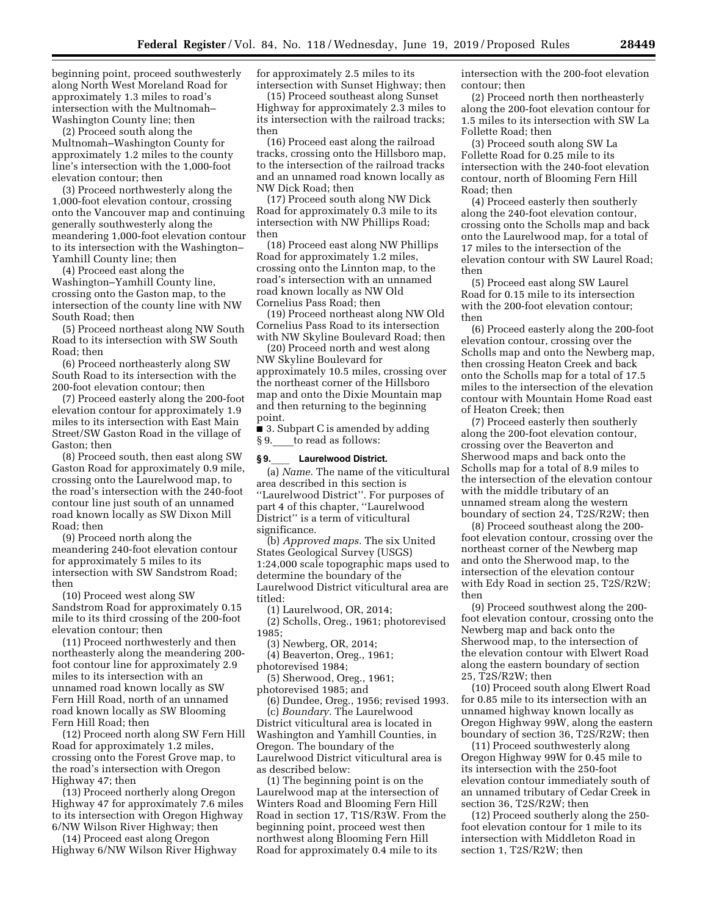beginning point, proceed southwesterly along North West Moreland Road for approximately 1.3 miles to road's intersection with the Multnomah– Washington County line; then

(2) Proceed south along the Multnomah–Washington County for approximately 1.2 miles to the county line's intersection with the 1,000-foot elevation contour; then

(3) Proceed northwesterly along the 1,000-foot elevation contour, crossing onto the Vancouver map and continuing generally southwesterly along the meandering 1,000-foot elevation contour to its intersection with the Washington– Yamhill County line; then

(4) Proceed east along the Washington–Yamhill County line, crossing onto the Gaston map, to the intersection of the county line with NW South Road; then

(5) Proceed northeast along NW South Road to its intersection with SW South Road; then

(6) Proceed northeasterly along SW South Road to its intersection with the 200-foot elevation contour; then

(7) Proceed easterly along the 200-foot elevation contour for approximately 1.9 miles to its intersection with East Main Street/SW Gaston Road in the village of Gaston; then

(8) Proceed south, then east along SW Gaston Road for approximately 0.9 mile, crossing onto the Laurelwood map, to the road's intersection with the 240-foot contour line just south of an unnamed road known locally as SW Dixon Mill Road; then

(9) Proceed north along the meandering 240-foot elevation contour for approximately 5 miles to its intersection with SW Sandstrom Road; then

(10) Proceed west along SW Sandstrom Road for approximately 0.15 mile to its third crossing of the 200-foot elevation contour; then

(11) Proceed northwesterly and then northeasterly along the meandering 200 foot contour line for approximately 2.9 miles to its intersection with an unnamed road known locally as SW Fern Hill Road, north of an unnamed road known locally as SW Blooming Fern Hill Road; then

(12) Proceed north along SW Fern Hill Road for approximately 1.2 miles, crossing onto the Forest Grove map, to the road's intersection with Oregon Highway 47; then

(13) Proceed northerly along Oregon Highway 47 for approximately 7.6 miles to its intersection with Oregon Highway 6/NW Wilson River Highway; then

(14) Proceed east along Oregon Highway 6/NW Wilson River Highway for approximately 2.5 miles to its intersection with Sunset Highway; then

(15) Proceed southeast along Sunset Highway for approximately 2.3 miles to its intersection with the railroad tracks; then

(16) Proceed east along the railroad tracks, crossing onto the Hillsboro map, to the intersection of the railroad tracks and an unnamed road known locally as NW Dick Road; then

(17) Proceed south along NW Dick Road for approximately 0.3 mile to its intersection with NW Phillips Road; then

(18) Proceed east along NW Phillips Road for approximately 1.2 miles, crossing onto the Linnton map, to the road's intersection with an unnamed road known locally as NW Old Cornelius Pass Road; then

(19) Proceed northeast along NW Old Cornelius Pass Road to its intersection with NW Skyline Boulevard Road; then

(20) Proceed north and west along NW Skyline Boulevard for approximately 10.5 miles, crossing over the northeast corner of the Hillsboro map and onto the Dixie Mountain map and then returning to the beginning point.

■ 3. Subpart C is amended by adding § 9. to read as follows:

#### **§ 9.**\_\_\_\_ **Laurelwood District.**

(a) *Name.* The name of the viticultural area described in this section is ''Laurelwood District''. For purposes of part 4 of this chapter, ''Laurelwood District'' is a term of viticultural significance.

(b) *Approved maps.* The six United States Geological Survey (USGS) 1:24,000 scale topographic maps used to determine the boundary of the Laurelwood District viticultural area are titled:

(1) Laurelwood, OR, 2014; (2) Scholls, Oreg., 1961; photorevised 1985;

(3) Newberg, OR, 2014;

(4) Beaverton, Oreg., 1961; photorevised 1984;

(5) Sherwood, Oreg., 1961;

photorevised 1985; and

(6) Dundee, Oreg., 1956; revised 1993. (c) *Boundary.* The Laurelwood District viticultural area is located in Washington and Yamhill Counties, in Oregon. The boundary of the Laurelwood District viticultural area is as described below:

(1) The beginning point is on the Laurelwood map at the intersection of Winters Road and Blooming Fern Hill Road in section 17, T1S/R3W. From the beginning point, proceed west then northwest along Blooming Fern Hill Road for approximately 0.4 mile to its

intersection with the 200-foot elevation contour; then

(2) Proceed north then northeasterly along the 200-foot elevation contour for 1.5 miles to its intersection with SW La Follette Road; then

(3) Proceed south along SW La Follette Road for 0.25 mile to its intersection with the 240-foot elevation contour, north of Blooming Fern Hill Road; then

(4) Proceed easterly then southerly along the 240-foot elevation contour, crossing onto the Scholls map and back onto the Laurelwood map, for a total of 17 miles to the intersection of the elevation contour with SW Laurel Road; then

(5) Proceed east along SW Laurel Road for 0.15 mile to its intersection with the 200-foot elevation contour; then

(6) Proceed easterly along the 200-foot elevation contour, crossing over the Scholls map and onto the Newberg map, then crossing Heaton Creek and back onto the Scholls map for a total of 17.5 miles to the intersection of the elevation contour with Mountain Home Road east of Heaton Creek; then

(7) Proceed easterly then southerly along the 200-foot elevation contour, crossing over the Beaverton and Sherwood maps and back onto the Scholls map for a total of 8.9 miles to the intersection of the elevation contour with the middle tributary of an unnamed stream along the western boundary of section 24, T2S/R2W; then

(8) Proceed southeast along the 200 foot elevation contour, crossing over the northeast corner of the Newberg map and onto the Sherwood map, to the intersection of the elevation contour with Edy Road in section 25, T2S/R2W; then

(9) Proceed southwest along the 200 foot elevation contour, crossing onto the Newberg map and back onto the Sherwood map, to the intersection of the elevation contour with Elwert Road along the eastern boundary of section 25, T2S/R2W; then

(10) Proceed south along Elwert Road for 0.85 mile to its intersection with an unnamed highway known locally as Oregon Highway 99W, along the eastern boundary of section 36, T2S/R2W; then

(11) Proceed southwesterly along Oregon Highway 99W for 0.45 mile to its intersection with the 250-foot elevation contour immediately south of an unnamed tributary of Cedar Creek in section 36, T2S/R2W; then

(12) Proceed southerly along the 250 foot elevation contour for 1 mile to its intersection with Middleton Road in section 1, T2S/R2W; then